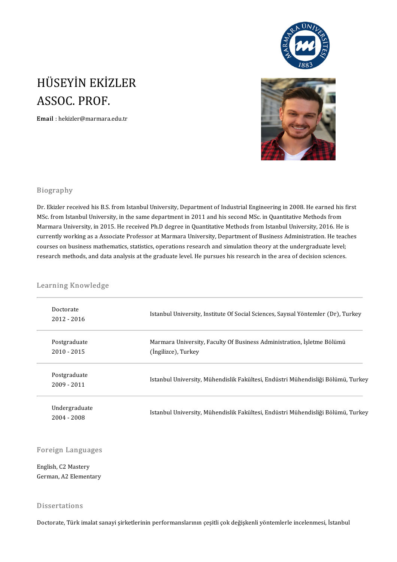

# HÜSEYİN EKİZLER<br>ASSOC PROF HÜSEYİN EKİZ<br>ASSOC. PROF.<br>Email : bekizler@marmara. ASSOC. PROF.<br>Email : hekizler@marmara.edu.tr



#### Biography

Biography<br>Dr. Ekizler received his B.S. from Istanbul University, Department of Industrial Engineering in 2008. He earned his first<br>MSc. from Istanbul University in the same department in 2011 and his sesend MSc. in Quanti Brograpny<br>Dr. Ekizler received his B.S. from Istanbul University, Department of Industrial Engineering in 2008. He earned his<br>MSc. from Istanbul University, in the same department in 2011 and his second MSc. in Quantitativ Dr. Ekizler received his B.S. from Istanbul University, Department of Industrial Engineering in 2008. He earned his fir<br>MSc. from Istanbul University, in the same department in 2011 and his second MSc. in Quantitative Meth MSc. from Istanbul University, in the same department in 2011 and his second MSc. in Quantitative Methods from<br>Marmara University, in 2015. He received Ph.D degree in Quantitative Methods from Istanbul University, 2016. He Marmara University, in 2015. He received Ph.D degree in Quantitative Methods from Istanbul University, 2016. He is<br>currently working as a Associate Professor at Marmara University, Department of Business Administration. He currently working as a Associate Professor at Marmara University, Department of Business Administration. He teac<br>courses on business mathematics, statistics, operations research and simulation theory at the undergraduate l

# research methods, and data<br>Learning Knowledge

| Learning Knowledge            |                                                                                               |  |  |
|-------------------------------|-----------------------------------------------------------------------------------------------|--|--|
| Doctorate<br>2012 - 2016      | Istanbul University, Institute Of Social Sciences, Sayısal Yöntemler (Dr), Turkey             |  |  |
| Postgraduate<br>$2010 - 2015$ | Marmara University, Faculty Of Business Administration, İşletme Bölümü<br>(Ingilizce), Turkey |  |  |
| Postgraduate<br>$2009 - 2011$ | Istanbul University, Mühendislik Fakültesi, Endüstri Mühendisliği Bölümü, Turkey              |  |  |
| Undergraduate<br>2004 - 2008  | Istanbul University, Mühendislik Fakültesi, Endüstri Mühendisliği Bölümü, Turkey              |  |  |

# Foreign Languages

Foreign Langua<br>English, C2 Mastery<br>Cerman A2 Flement English, C2 Mastery<br>German, A2 Elementary

#### Dissertations

Doctorate, Türk imalat sanayi şirketlerinin performanslarının çeşitli çok değişkenli yöntemlerle incelenmesi, İstanbul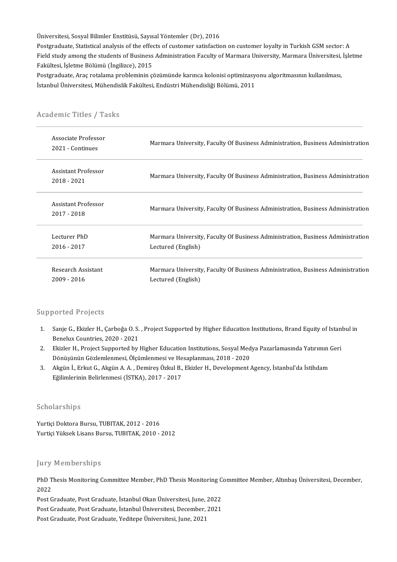Üniversitesi, Sosyal Bilimler Enstitüsü, Sayısal Yöntemler (Dr), 2016

Üniversitesi, Sosyal Bilimler Enstitüsü, Sayısal Yöntemler (Dr), 2016<br>Postgraduate, Statistical analysis of the effects of customer satisfaction on customer loyalty in Turkish GSM sector: A<br>Field study among the students o Üniversitesi, Sosyal Bilimler Enstitüsü, Sayısal Yöntemler (Dr), 2016<br>Postgraduate, Statistical analysis of the effects of customer satisfaction on customer loyalty in Turkish GSM sector: A<br>Field study among the students o Postgraduate, Statistical analysis of the effer<br>Field study among the students of Business<br>Fakültesi, İşletme Bölümü (İngilizce), 2015<br>Postgraduate, Area ratalama probleminin a Field study among the students of Business Administration Faculty of Marmara University, Marmara Üniversitesi, İşletme<br>Fakültesi, İşletme Bölümü (İngilizce), 2015<br>Postgraduate, Araç rotalama probleminin çözümünde karınca k

İstanbul Üniversitesi, Mühendislik Fakültesi, Endüstri Mühendisliği Bölümü, 2011

| Academic Titles / Tasks<br>Associate Professor<br>2021 Continues | Marmara University, Faculty Of Business Administration, Business Administration                       |  |
|------------------------------------------------------------------|-------------------------------------------------------------------------------------------------------|--|
| Assistant Professor<br>2018 - 2021                               | Marmara University, Faculty Of Business Administration, Business Administration                       |  |
| Assistant Professor<br>2017 - 2018                               | Marmara University, Faculty Of Business Administration, Business Administration                       |  |
| Lecturer PhD<br>2016 - 2017                                      | Marmara University, Faculty Of Business Administration, Business Administration<br>Lectured (English) |  |
| Research Assistant<br>2009 - 2016                                | Marmara University, Faculty Of Business Administration, Business Administration<br>Lectured (English) |  |

# istanbul Universitesi, Munendis<br>Academic Titles / Tasks

#### Supported Projects

- upported Projects<br>1. Sanje G., Ekizler H., Çarboğa O. S. , Project Supported by Higher Education Institutions, Brand Equity of Istanbul in<br>Repolsy Countries, 2020, 2021 sorted i rojects<br>Sanje G., Ekizler H., Çarboğa O. S.<br>Benelux Countries, 2020 - 2021<br>Ekizler H., Preject Supported by 2. Sanje G., Ekizler H., Çarboğa O. S. , Project Supported by Higher Education Institutions, Brand Equity of Istan<br>1. Benelux Countries, 2020 - 2021<br>2. Ekizler H., Project Supported by Higher Education Institutions, Sosyal
- Benelux Countries, 2020 2021<br>Ekizler H., Project Supported by Higher Education Institutions, Sosyal Med<br>Dönüşünün Gözlemlenmesi, Ölçümlenmesi ve Hesaplanması, 2018 2020<br>Akrün İ. Frlatt C. Akrün A.A., Demires Örkul B. F 3. Ekizler H., Project Supported by Higher Education Institutions, Sosyal Medya Pazarlamasında Yatırımın Geri<br>Dönüşünün Gözlemlenmesi, Ölçümlenmesi ve Hesaplanması, 2018 - 2020<br>Akgün İ., Erkut G., Akgün A. A. , Demireş Özk
- Dönüşünün Gözlemlenmesi, Ölçümlenmesi ve He<br>Akgün İ., Erkut G., Akgün A. A. , Demireş Özkul B.,<br>Eğilimlerinin Belirlenmesi (İSTKA), 2017 2017

#### Scholarships

Yurtiçi Doktora Bursu, TUBITAK, 2012 - 2016 Yurtiçi Yüksek Lisans Bursu, TUBITAK, 2010 - 2012

#### Jury Memberships

Jury Memberships<br>PhD Thesis Monitoring Committee Member, PhD Thesis Monitoring Committee Member, Altınbaş Üniversitesi, December,<br>2022 pary<br>PhD T<br>2022 PhD Thesis Monitoring Committee Member, PhD Thesis Monitoring C<br>2022<br>Post Graduate, Post Graduate, İstanbul Üniversitesi, June, 2022<br>Post Craduate, Post Craduate, İstanbul Üniversitesi, Desember, 2021 2022<br>Post Graduate, Post Graduate, İstanbul Okan Üniversitesi, June, 2022<br>Post Graduate, Post Graduate, İstanbul Üniversitesi, December, 2021<br>Post Graduate, Post Graduate, Veditare Üniversitesi, Lune, 2021

Post Graduate, Post Graduate, İstanbul Üniversitesi, December, 2021<br>Post Graduate, Post Graduate, Yeditepe Üniversitesi, June, 2021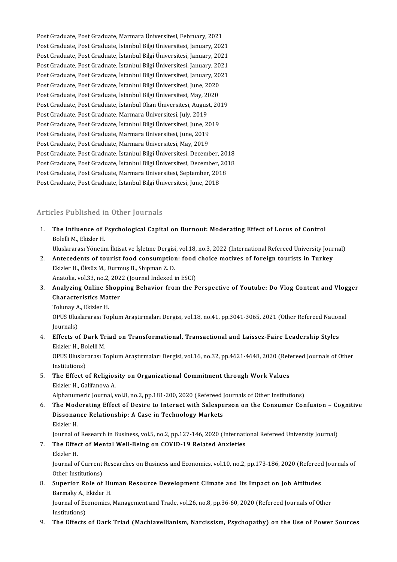Post Graduate, Post Graduate, Marmara Üniversitesi, February, 2021<br>Post Graduate, Post Graduate, Marmara Üniversitesi, February, 2021 Post Graduate, Post Graduate, Marmara Üniversitesi, February, 2021<br>Post Graduate, Post Graduate, İstanbul Bilgi Üniversitesi, January, 2021<br>Post Graduate, Post Graduate, İstanbul Bilgi Üniversitesi, January, 2021 Post Graduate, Post Graduate, Marmara Üniversitesi, February, 2021<br>Post Graduate, Post Graduate, İstanbul Bilgi Üniversitesi, January, 2021<br>Post Graduate, Post Graduate, İstanbul Bilgi Üniversitesi, January, 2021<br>Post Grad Post Graduate, Post Graduate, İstanbul Bilgi Üniversitesi, January, 2021<br>Post Graduate, Post Graduate, İstanbul Bilgi Üniversitesi, January, 2021<br>Post Graduate, Post Graduate, İstanbul Bilgi Üniversitesi, January, 2021<br>Pos Post Graduate, Post Graduate, İstanbul Bilgi Üniversitesi, January, 2021<br>Post Graduate, Post Graduate, İstanbul Bilgi Üniversitesi, January, 2021<br>Post Graduate, Post Graduate, İstanbul Bilgi Üniversitesi, January, 2021<br>Pos Post Graduate, Post Graduate, İstanbul Bilgi Üniversitesi, January, 20<br>Post Graduate, Post Graduate, İstanbul Bilgi Üniversitesi, January, 20<br>Post Graduate, Post Graduate, İstanbul Bilgi Üniversitesi, June, 2020<br>Post Cradu Post Graduate, Post Graduate, İstanbul Bilgi Üniversitesi, January, 2021<br>Post Graduate, Post Graduate, İstanbul Bilgi Üniversitesi, June, 2020<br>Post Graduate, Post Graduate, İstanbul Bilgi Üniversitesi, May, 2020<br>Post Gradu Post Graduate, Post Graduate, İstanbul Bilgi Üniversitesi, June, 2020<br>Post Graduate, Post Graduate, İstanbul Bilgi Üniversitesi, May, 2020<br>Post Graduate, Post Graduate, İstanbul Okan Üniversitesi, August, 20<br>Post Graduate, Post Graduate, Post Graduate, İstanbul Bilgi Üniversitesi, May, 2020 Post Graduate, Post Graduate, İstanbul Okan Üniversitesi, August, 20<br>Post Graduate, Post Graduate, Marmara Üniversitesi, July, 2019<br>Post Graduate, Post Graduate, İstanbul Bilgi Üniversitesi, June, 2019<br>Post Craduate, Post Post Graduate, Post Graduate, Marmara Üniversitesi, July, 2019<br>Post Graduate, Post Graduate, İstanbul Bilgi Üniversitesi, June, 20<br>Post Graduate, Post Graduate, Marmara Üniversitesi, June, 2019<br>Post Graduate, Post Graduate Post Graduate, Post Graduate, İstanbul Bilgi Üniversitesi, June, 20<br>Post Graduate, Post Graduate, Marmara Üniversitesi, June, 2019<br>Post Graduate, Post Graduate, Marmara Üniversitesi, May, 2019<br>Post Graduate, Post Graduate, Post Graduate, Post Graduate, Marmara Üniversitesi, June, 2019<br>Post Graduate, Post Graduate, Marmara Üniversitesi, May, 2019<br>Post Graduate, Post Graduate, İstanbul Bilgi Üniversitesi, December, 2018 Post Graduate, Post Graduate, Marmara Üniversitesi, May, 2019<br>Post Graduate, Post Graduate, İstanbul Bilgi Üniversitesi, December, 2018<br>Post Graduate, Post Graduate, İstanbul Bilgi Üniversitesi, December, 2018<br>Post Graduat Post Graduate, Post Graduate, İstanbul Bilgi Üniversitesi, December, 20<br>Post Graduate, Post Graduate, İstanbul Bilgi Üniversitesi, December, 20<br>Post Graduate, Post Graduate, Marmara Üniversitesi, September, 2018<br>Post Gradu Post Graduate, Post Graduate, İstanbul Bilgi Üniversitesi, December, .<br>Post Graduate, Post Graduate, Marmara Üniversitesi, September, 201<br>Post Graduate, Post Graduate, İstanbul Bilgi Üniversitesi, June, 2018 Post Graduate, Post Graduate, İstanbul Bilgi Üniversitesi, June, 2018<br>Articles Published in Other Journals

Inticles Published in Other Journals<br>1. The Influence of Psychological Capital on Burnout: Moderating Effect of Locus of Control<br>Rolalli M. Ekizler H The Influence of I<br>Bolelli M., Ekizler H.<br>Hluclarares: Vänetir The Influence of Psychological Capital on Burnout: Moderating Effect of Locus of Control<br>Bolelli M., Ekizler H.<br>Uluslararası Yönetim İktisat ve İşletme Dergisi, vol.18, no.3, 2022 (International Refereed University Journal

- Bolelli M., Ekizler H.<br>Uluslararası Yönetim İktisat ve İşletme Dergisi, vol.18, no.3, 2022 (International Refereed University Jour<br>2. Antecedents of tourist food consumption: food choice motives of foreign tourists in Turk Uluslararası Yönetim İktisat ve İşletme Dergisi<br>**Antecedents of tourist food consumptior**<br>Ekizler H., Öksüz M., Durmuş B., Shıpman Z. D.<br>Anatalia val <sup>32</sup>. na 2.2022 (Jaurnal Indoved i Antecedents of tourist food consumption: food<br>Ekizler H., Öksüz M., Durmuş B., Shıpman Z. D.<br>Anatolia, vol.33, no.2, 2022 (Journal Indexed in ESCI)<br>Analyzing Opline Shapping Behavior from the B
- Ekizler H., Öksüz M., Durmuş B., Shıpman Z. D.<br>Anatolia, vol.33, no.2, 2022 (Journal Indexed in ESCI)<br>3. Analyzing Online Shopping Behavior from the Perspective of Youtube: Do Vlog Content and Vlogger<br>Chanasteristics Me Anatolia, vol.33, no.2, 202<br>Analyzing Online Shop<br>Characteristics Matter<br>Telunay A. Ekizler H Analyzing Online SI<br>Characteristics Mat<br>Tolunay A., Ekizler H.<br>O<sup>DUS Hurolaranos: To</sup>

Characteristics Matter<br>Tolunay A., Ekizler H.<br>OPUS Uluslararası Toplum Araştırmaları Dergisi, vol.18, no.41, pp.3041-3065, 2021 (Other Refereed National Tolunay A<br>OPUS Ulus<br>Journals)<br>Effects e OPUS Uluslararası Toplum Araştırmaları Dergisi, vol.18, no.41, pp.3041-3065, 2021 (Other Refereed Nation<br>Journals)<br>4. Effects of Dark Triad on Transformational, Transactional and Laissez-Faire Leadership Styles<br>Ekizler H.

# Journals)<br>4. Effects of Dark Triad on Transformational, Transactional and Laissez-Faire Leadership Styles Ekizler H., Bolelli M.

OPUS Uluslararası Toplum Araştırmaları Dergisi, vol.16, no.32, pp.4621-4648, 2020 (Refereed Journals of Other<br>Institutions) 5. OPUS Uluslararası Toplum Araştırmaları Dergisi, vol.16, no.32, pp.4621-4648, 2020 (Reformitations)<br>5. The Effect of Religiosity on Organizational Commitment through Work Values<br>Ekizler H. Colifonous A

# Institutions)<br>The Effect of Religios<br>Ekizler H., Galifanova A.<br>Alphanumeris Journal v The Effect of Religiosity on Organizational Commitment through Work Values<br>Ekizler H., Galifanova A.<br>Alphanumeric Journal, vol.8, no.2, pp.181-200, 2020 (Refereed Journals of Other Institutions)<br>The Mederating Effect of De

Ekizler H., Galifanova A.<br>Alphanumeric Journal, vol.8, no.2, pp.181-200, 2020 (Refereed Journals of Other Institutions)<br>6. The Moderating Effect of Desire to Interact with Salesperson on the Consumer Confusion – Cognitive<br> Alphanumeric Journal, vol.8, no.2, pp.181-200, 2020 (Refereed )<br>The Moderating Effect of Desire to Interact with Salespe<br>Dissonance Relationship: A Case in Technology Markets<br>Fligler H The Mod<br>Dissonar<br>Ekizler H.<br>Journal of Dissonance Relationship: A Case in Technology Markets<br>Ekizler H.<br>Journal of Research in Business, vol.5, no.2, pp.127-146, 2020 (International Refereed University Journal)<br>The Effect of Montal Well Being on COVID 19 Belate

- Ekizler H.<br>Journal of Research in Business, vol.5, no.2, pp.127-146, 2020 (Internation:<br>7. The Effect of Mental Well-Being on COVID-19 Related Anxieties<br>Ekizler H. Journal of<br>The Effe<br>Ekizler H.<br>Journal of
	-

The Effect of Mental Well-Being on COVID-19 Related Anxieties<br>Ekizler H.<br>Journal of Current Researches on Business and Economics, vol.10, no.2, pp.173-186, 2020 (Refereed Journals of<br>Other Institutions) Ekizler H.<br>Journal of Current<br>Other Institutions)<br>Superior Pole of Superior Resourches on Business and Economics, vol.10, no.2, pp.173-186, 2020 (Refereed Other Institutions)<br>8. Superior Role of Human Resource Development Climate and Its Impact on Job Attitudes<br>8. Superior Role of Human R

# Other Institutions)<br>Superior Role of Hu<br>Barmaky A., Ekizler H.<br>Journal of Economics Barmaky A, Ekizler H.

Journal of Economics, Management and Trade, vol.26, no.8, pp.36-60, 2020 (Refereed Journals of Other<br>Institutions)

9. The Effects of Dark Triad (Machiavellianism, Narcissism, Psychopathy) on the Use of Power Sources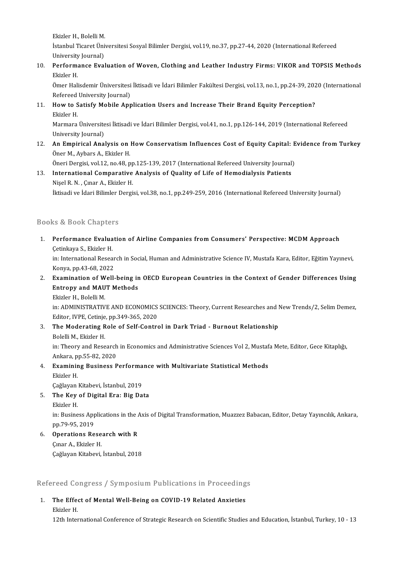Ekizler H., Bolelli M.<br>Ekizler H., Bolelli M.

İstanbul Ticaret Üniversitesi Sosyal Bilimler Dergisi, vol.19, no.37, pp.27-44, 2020 (International Refereed<br>University Journal) Ekizler H., Bolelli M.<br>İstanbul Ticaret Üni<br>University Journal)<br>Porformanae Evel Istanbul Ticaret Üniversitesi Sosyal Bilimler Dergisi, vol.19, no.37, pp.27-44, 2020 (International Refereed<br>University Journal)<br>10. Performance Evaluation of Woven, Clothing and Leather Industry Firms: VIKOR and TOPSIS Me

University<br>Perform:<br>Ekizler H.<br>Ömer Hali Performance Evaluation of Woven, Clothing and Leather Industry Firms: VIKOR and TOPSIS Methods<br>Ekizler H.<br>Ömer Halisdemir Üniversitesi İktisadi ve İdari Bilimler Fakültesi Dergisi, vol.13, no.1, pp.24-39, 2020 (Internation

Ekizler H.<br>Ömer Halisdemir Üniversitesi İktisadi ve İdari Bilimler Fakültesi Dergisi, vol.13, no.1, pp.24-39, 2020 (International Refereed University Journal)

11. How to Satisfy Mobile Application Users and Increase Their Brand Equity Perception?<br>Ekizler H. How to Satisfy Mobile Application Users and Increase Their Brand Equity Perception?<br>Ekizler H.<br>Marmara Üniversitesi İktisadi ve İdari Bilimler Dergisi, vol.41, no.1, pp.126-144, 2019 (International Refereed<br>University Jour

Ekizler H.<br>Marmara Üniversite<br>University Journal)<br>An Emnirical Ana Marmara Üniversitesi İktisadi ve İdari Bilimler Dergisi, vol.41, no.1, pp.126-144, 2019 (International Refereed<br>University Journal)<br>12. An Empirical Analysis on How Conservatism Influences Cost of Equity Capital: Evidence

University Journal)<br>**An Empirical Analysis on**<br>Öner M., Aybars A., Ekizler H.<br>Öneri Dergisi vel 12. ne 48. n An Empirical Analysis on How Conservatism Influences Cost of Equity Capital: E<br>Öner M., Aybars A., Ekizler H.<br>Öneri Dergisi, vol.12, no.48, pp.125-139, 2017 (International Refereed University Journal)<br>International Compora

Öner M., Aybars A., Ekizler H.<br>Öneri Dergisi, vol.12, no.48, pp.125-139, 2017 (International Refereed University Journal)<br>13. International Comparative Analysis of Quality of Life of Hemodialysis Patients<br>Nigel B. N., Guar Öneri Dergisi, vol.12, no.48, pp<br>International Comparative<br>Nişel R. N. , Çınar A., Ekizler H.<br>İltisedi ve İderi Bilimler Dergi 13. International Comparative Analysis of Quality of Life of Hemodialysis Patients<br>Nişel R. N. , Çınar A., Ekizler H.<br>İktisadi ve İdari Bilimler Dergisi, vol.38, no.1, pp.249-259, 2016 (International Refereed University Jo

### Books&Book Chapters

looks & Book Chapters<br>1. Performance Evaluation of Airline Companies from Consumers' Perspective: MCDM Approach<br>Cotinkaya S. Ekizler H re di Boon Ghapeer<br>Performance Evalua<br>Çetinkaya S., Ekizler H.<br>in: International Besse Performance Evaluation of Airline Companies from Consumers' Perspective: MCDM Approach<br>Çetinkaya S., Ekizler H.<br>in: International Research in Social, Human and Administrative Science IV, Mustafa Kara, Editor, Eğitim Yayıne

Cetinkaya S., Ekizler H.<br>in: International Resear<br>Konya, pp.43-68, 2022<br>Examination of Woll in: International Research in Social, Human and Administrative Science IV, Mustafa Kara, Editor, Eğitim Yayınevi,<br>2. Examination of Well-being in OECD European Countries in the Context of Gender Differences Using<br>Entropy a

Konya, pp.43-68, 2022<br>Examination of Well-being in<br>Entropy and MAUT Methods<br>Ekizler H. Bolelli M Examination of W<br>Entropy and MAU<br>Ekizler H., Bolelli M.<br>in: ADMINISTP ATIV E<mark>ntropy and MAUT Methods</mark><br>Ekizler H., Bolelli M.<br>in: ADMINISTRATIVE AND ECONOMICS SCIENCES: Theory, Current Researches and New Trends/2, Selim Demez,

Ekizler H., Bolelli M.<br>in: ADMINISTRATIVE AND ECONOMICS<br>Editor, IVPE, Cetinje, pp.349-365, 2020<br>The Mederating Bala of Salf Cantra

3. The Moderating Role of Self-Control in Dark Triad - Burnout Relationship<br>Bolelli M., Ekizler H. Editor, IVPE, Cetinje<br>The Moderating R<br>Bolelli M., Ekizler H.<br>in: Theory and Bess

The Moderating Role of Self-Control in Dark Triad - Burnout Relationship<br>Bolelli M., Ekizler H.<br>in: Theory and Research in Economics and Administrative Sciences Vol 2, Mustafa Mete, Editor, Gece Kitaplığı,<br>Ankare pp.EE.92, Bolelli M., Ekizler H.<br>in: Theory and Research<br>Ankara, pp.55-82, 2020<br>Evamining Business B in: Theory and Research in Economics and Administrative Sciences Vol 2, Mustaf<br>Ankara, pp.55-82, 2020<br>4. Examining Business Performance with Multivariate Statistical Methods<br>Elizler H

Ankara, p<br>**Examinir**<br>Ekizler H.<br>Cağlayan Examining Business Performa<br>Ekizler H.<br>Çağlayan Kitabevi, İstanbul, 2019<br>The Kev of Digital Era: Big Da Ekizler H.<br>Çağlayan Kitabevi, İstanbul, 2019<br>5. The Key of Digital Era: Big Data<br>Ekizler H.

Çağlayan Kitabevi, İstanbul, 2019

- -

The Key of Digital Era: Big Data<br>Ekizler H.<br>in: Business Applications in the Axis of Digital Transformation, Muazzez Babacan, Editor, Detay Yayıncılık, Ankara, Ekizler H.<br>in: Business App<br>pp.79-95, 2019<br>Operations Be in: Business Applications in the  $\mu$ <br>pp.79-95, 2019<br>6. **Operations Research with R** 

pp.79-95, 2019<br>**Operations Rese**<br>Çınar A., Ekizler H.<br>Çağlayan Kitabayi Çınar A., Ekizler H.<br>Çağlayan Kitabevi, İstanbul, 2018

Refereed Congress / SymposiumPublications in Proceedings

# Refereed Congress / Symposium Publications in Proceeding<br>1. The Effect of Mental Well-Being on COVID-19 Related Anxieties The Effect of Mental Well-Being on COVID-19 Related Anxieties<br>Ekizler H.

12th International Conference of Strategic Research on Scientific Studies and Education, İstanbul, Turkey, 10 - 13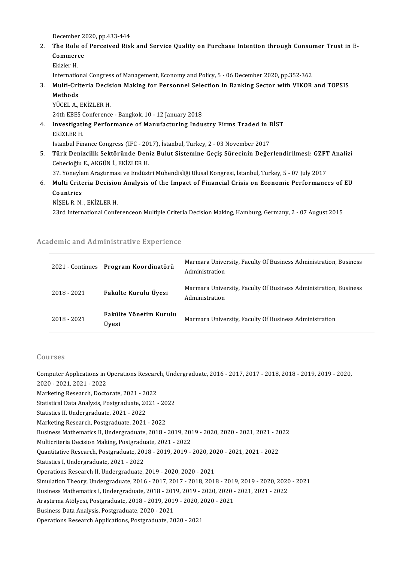December 2020, pp.433-444<br>The Bole of Bengeiued Biel

# December 2020, pp.433-444<br>2. The Role of Perceived Risk and Service Quality on Purchase Intention through Consumer Trust in E-<br>Commense December 2<br>The Role of<br>Commerce<br>Ekizlen H The Role<br>Commer<br>Ekizler H.<br>Internatio Commerce<br>Ekizler H.<br>International Congress of Management, Economy and Policy, 5 - 06 December 2020, pp.352-362<br>Multi Critoria Decision Making for Personnel Selection in Panking Sector with VIKOP

# Ekizler H.<br>International Congress of Management, Economy and Policy, 5 - 06 December 2020, pp.352-362<br>3. Multi-Criteria Decision Making for Personnel Selection in Banking Sector with VIKOR and TOPSIS<br>Methods Internatio<br><mark>Multi-Cri</mark><br>Methods<br><sup>Vicet A</sup> Multi-Criteria Decis<br>Methods<br>YÜCEL A., EKİZLER H.<br>24th EPES Conforence

Methods<br>YÜCEL A., EKİZLER H.<br>24th EBES Conference - Bangkok, 10 - 12 January 2018<br>Investigating Berformance of Manufasturing Indu

# YÜCEL A., EKİZLER H.<br>24th EBES Conference - Bangkok, 10 - 12 January 2018<br>4. Investigating Performance of Manufacturing Industry Firms Traded in BİST<br>EKİZLER H 24th EBES (<br>Investigati<br>EKİZLER H.<br>Istanbul Ein Investigating Performance of Manufacturing Industry Firms Traded in E<br>EKİZLER H.<br>Istanbul Finance Congress (IFC - 2017), İstanbul, Turkey, 2 - 03 November 2017<br>Türk Denizellik Sektöründe Deniz Pulut Sistemine Cesis Sünesin

EKİZLER H.<br>19. Istanbul Finance Congress (IFC - 2017), İstanbul, Turkey, 2 - 03 November 2017<br>5. Türk Denizcilik Sektöründe Deniz Bulut Sistemine Geçiş Sürecinin Değerlendirilmesi: GZFT Analizi<br>6. Gebesisğlu E. AKÇÜN İ. EK Istanbul Finance Congress (IFC - 2017), İstanbul, Turkey, 2 - 03 November 2017<br>Türk Denizcilik Sektöründe Deniz Bulut Sistemine Geçiş Sürecinin Değe<br>Cebecioğlu E., AKGÜN İ., EKİZLER H. Türk Denizcilik Sektöründe Deniz Bulut Sistemine Geçiş Sürecinin Değerlendirilmesi: GZFT<br>Cebecioğlu E., AKGÜN İ., EKİZLER H.<br>37. Yöneylem Araştırması ve Endüstri Mühendisliği Ulusal Kongresi, İstanbul, Turkey, 5 - 07 July

6. Cebecioğlu E., AKGÜN İ., EKİZLER H.<br>17. Yöneylem Araştırması ve Endüstri Mühendisliği Ulusal Kongresi, İstanbul, Turkey, 5 - 07 July 2017<br>6. Multi Criteria Decision Analysis of the Impact of Financial Crisis on Econ 37. Yöneylem Araştırması ve Endüstri Mühendisliği Ulusal Kongresi, İstanbul, Turkey, 5 - 07 July 2017<br>Multi Criteria Decision Analysis of the Impact of Financial Crisis on Economic Performanc<br>Countries<br>NISEL R. N., EKİZLER Multi Criteria Decisio<br>Countries<br>NİŞEL R.N., EKİZLER H.<br>22rd International Confe

23rd International Conferenceon Multiple Criteria Decision Making, Hamburg, Germany, 2 - 07 August 2015

## Academic and Administrative Experience

| demic and Administrative Experience |                                       |                                                                                    |  |  |
|-------------------------------------|---------------------------------------|------------------------------------------------------------------------------------|--|--|
|                                     | 2021 - Continues Program Koordinatörü | Marmara University, Faculty Of Business Administration, Business<br>Administration |  |  |
| 2018 - 2021                         | Fakülte Kurulu Üyesi                  | Marmara University, Faculty Of Business Administration, Business<br>Administration |  |  |
| 2018 - 2021                         | Fakülte Yönetim Kurulu<br>Üyesi       | Marmara University, Faculty Of Business Administration                             |  |  |

### Courses

Courses<br>Computer Applications in Operations Research, Undergraduate, 2016 - 2017, 2017 - 2018, 2018 - 2019, 2019 - 2020,<br>2020 - 2021, 2021, 2022 2021<br>2020 - 2021, 2021 - 2022<br>Marketing Besearch, Decta Computer Applications in Operations Researc<br>2020 - 2021, 2021 - 2022<br>Marketing Research, Doctorate, 2021 - 2022<br>Statistical Data Apalysis, Bestanduate, 2021

2020 - 2021, 2021 - 2022<br>Marketing Research, Doctorate, 2021 - 2022<br>Statistical Data Analysis, Postgraduate, 2021 - 2022<br>Statistics II Undergraduate, 2021 - 2022 Marketing Research, Doctorate, 2021 - 20<br>Statistical Data Analysis, Postgraduate, 20<br>Statistics II, Undergraduate, 2021 - 2022<br>Marketing Research, Restgraduate, 2021 Statistical Data Analysis, Postgraduate, 2021 - 20<br>Statistics II, Undergraduate, 2021 - 2022<br>Marketing Research, Postgraduate, 2021 - 2022<br>Pusiness Mathematics II, Undergraduate, 2019

Statistics II, Undergraduate, 2021 - 2022<br>Marketing Research, Postgraduate, 2021 - 2022<br>Business Mathematics II, Undergraduate, 2018 - 2019, 2019 - 2020, 2020 - 2021, 2021 - 2022 Marketing Research, Postgraduate, 2021 - 2022<br>Business Mathematics II, Undergraduate, 2018 - 2019, 201<br>Multicriteria Decision Making, Postgraduate, 2021 - 2022<br>Quantitative Besearsh, Restgraduate, 2019, 2019, 2019 Business Mathematics II, Undergraduate, 2018 - 2019, 2019 - 2020, 2020 - 2021, 2021 - 20<br>Multicriteria Decision Making, Postgraduate, 2021 - 2022<br>Quantitative Research, Postgraduate, 2018 - 2019, 2019 - 2020, 2020 - 2021,

Multicriteria Decision Making, Postgradu<br>Quantitative Research, Postgraduate, 201<br>Statistics I, Undergraduate, 2021 - 2022<br>Operations Research II, Undergraduate Quantitative Research, Postgraduate, 2018 - 2019, 2019 - 2020, 20<br>Statistics I, Undergraduate, 2021 - 2022<br>Operations Research II, Undergraduate, 2019 - 2020, 2020 - 2021<br>Simulation Theory, Undergraduate, 2016 - 2017, 2017

Statistics I, Undergraduate, 2021 - 2022<br>Operations Research II, Undergraduate, 2019 - 2020, 2020 - 2021<br>Simulation Theory, Undergraduate, 2016 - 2017, 2017 - 2018, 2018 - 2019, 2019 - 2020, 2020 - 2021 Operations Research II, Undergraduate, 2019 - 2020, 2020 - 2021<br>Simulation Theory, Undergraduate, 2016 - 2017, 2017 - 2018, 2018 - 2019, 2019 - 2020, 2020<br>Business Mathematics I, Undergraduate, 2018 - 2019, 2019 - 2020, 20

Simulation Theory, Undergraduate, 2016 - 2017, 2017 - 2018, 2018 - 2019<br>Business Mathematics I, Undergraduate, 2018 - 2019, 2019 - 2020, 2020 -<br>Araştırma Atölyesi, Postgraduate, 2018 - 2019, 2019 - 2020, 2020 - 2021<br>Busine Business Mathematics I, Undergraduate, 2018 - 201<br>Araștırma Atölyesi, Postgraduate, 2018 - 2019, 201<br>Business Data Analysis, Postgraduate, 2020 - 2021<br>Operations Besearch Applications, Bestgraduate, 20 Araștirma Atölyesi, Postgraduate, 2018 - 2019, 2019 - 2020, 2020 - 2021<br>Business Data Analysis, Postgraduate, 2020 - 2021<br>Operations Research Applications, Postgraduate, 2020 - 2021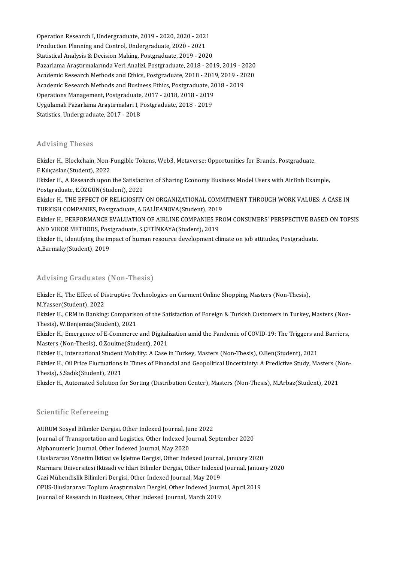Operation Research I, Undergraduate, 2019 - 2020, 2020 - 2021<br>Production Planning and Control, Undergraduate, 2020 - 2021 Operation Research I, Undergraduate, 2019 - 2020, 2020 - 2021<br>Production Planning and Control, Undergraduate, 2020 - 2021<br>Statistical Analysis & Desision Making, Restareduate, 2019, 203 Operation Research I, Undergraduate, 2019 - 2020, 2020 - 2021<br>Production Planning and Control, Undergraduate, 2020 - 2021<br>Statistical Analysis & Decision Making, Postgraduate, 2019 - 2020<br>Pararlama Anatumplanuda Vari Anali Production Planning and Control, Undergraduate, 2020 - 2021<br>Statistical Analysis & Decision Making, Postgraduate, 2019 - 2020<br>Pazarlama Araştırmalarında Veri Analizi, Postgraduate, 2018 - 2019, 2019 - 2020<br>Agadamia Bassare Statistical Analysis & Decision Making, Postgraduate, 2019 - 2020<br>Pazarlama Araştırmalarında Veri Analizi, Postgraduate, 2018 - 2019, 2019 - 2020<br>Academic Research Methods and Ethics, Postgraduate, 2018 - 2019, 2019 - 2020 Pazarlama Araştırmalarında Veri Analizi, Postgraduate, 2018 - 2019, 2019 - 2<br>Academic Research Methods and Ethics, Postgraduate, 2018 - 2019, 2019 - 20<br>Academic Research Methods and Business Ethics, Postgraduate, 2018 - 20 Academic Research Methods and Ethics, Postgraduate, 2018 - 2019, 2019 - 2020<br>Academic Research Methods and Business Ethics, Postgraduate, 2018 - 2019<br>Operations Management, Postgraduate, 2017 - 2018, 2018 - 2019<br>Uygulamalı Academic Research Methods and Business Ethics, Postgraduate, 2018 - 2019<br>Operations Management, Postgraduate, 2017 - 2018, 2018 - 2019<br>Uygulamalı Pazarlama Araştırmaları I, Postgraduate, 2018 - 2019<br>Statistics, Undergradua Operations Management, Postgraduate, 2017 - 2018, 2018 - 2019

### Advising Theses

Advising Theses<br>Ekizler H., Blockchain, Non-Fungible Tokens, Web3, Metaverse: Opportunities for Brands, Postgraduate,<br>E Kiksselar(Student), 2022 F.<br>Ekizler H., Blockchain, Non-F.<br>F.Kılıçaslan(Student), 2022<br>Ekizler H., A Bessareb unan F.Kiliçaslan(Student), 2022<br>Ekizler H., A Research upon the Satisfaction of Sharing Economy Business Model Users with AirBnb Example,

Postgraduate,E.ÖZGÜN(Student),2020

Ekizler H., A Research upon the Satisfaction of Sharing Economy Business Model Users with AirBnb Example,<br>Postgraduate, E.ÖZGÜN(Student), 2020<br>Ekizler H., THE EFFECT OF RELIGIOSITY ON ORGANIZATIONAL COMMITMENT THROUGH WORK Postgraduate, E.ÖZGÜN(Student), 2020<br>Ekizler H., THE EFFECT OF RELIGIOSITY ON ORGANIZATIONAL COMM<br>TURKISH COMPANIES, Postgraduate, A.GALİFANOVA(Student), 2019<br>Ekizler H., REREOPMANCE EVALUATION OF AIRLINE COMPANIES ERG Ekizler H., THE EFFECT OF RELIGIOSITY ON ORGANIZATIONAL COMMITMENT THROUGH WORK VALUES: A CASE IN<br>TURKISH COMPANIES, Postgraduate, A.GALİFANOVA(Student), 2019<br>Ekizler H., PERFORMANCE EVALUATION OF AIRLINE COMPANIES FROM CO

TURKISH COMPANIES, Postgraduate, A.GALİFANOVA(Student), 2019<br>Ekizler H., PERFORMANCE EVALUATION OF AIRLINE COMPANIES FROM CONSUMERS' PERSPECTIVE BAS<br>AND VIKOR METHODS, Postgraduate, S.ÇETİNKAYA(Student), 2019<br>Ekizler H., I Ekizler H., PERFORMANCE EVALUATION OF AIRLINE COMPANIES FROM CONSUMERS' PERSPECTIVE BAS<br>AND VIKOR METHODS, Postgraduate, S.ÇETİNKAYA(Student), 2019<br>Ekizler H., Identifying the impact of human resource development climate o

AND VIKOR METHODS, Postgraduate, S.ÇETİNKAYA(Student), 2019<br>Ekizler H., Identifying the impact of human resource development cl<br>A.Barmaky(Student), 2019

## AdvisingGraduates (Non-Thesis)

Advising Graduates (Non-Thesis)<br>Ekizler H., The Effect of Distruptive Technologies on Garment Online Shopping, Masters (Non-Thesis),<br>M.Yasser(Student), 2022 May 1911 of adduces<br>Ekizler H., The Effect of Di<br>M.Yasser(Student), 2022<br>Ekizler H., CPM in Benkins Ekizler H., The Effect of Distruptive Technologies on Garment Online Shopping, Masters (Non-Thesis),<br>M.Yasser(Student), 2022<br>Ekizler H., CRM in Banking: Comparison of the Satisfaction of Foreign & Turkish Customers in Turk

M.Yasser(Student), 2022<br>Ekizler H., CRM in Banking: Comparison of the Satisfaction of Foreign & Turkish Customers in Turkey, Masters (Non-<br>Thesis), W.Benjemaa(Student), 2021 Ekizler H., CRM in Banking: Comparison of the Satisfaction of Foreign & Turkish Customers in Turkey, Masters (Non-<br>Thesis), W.Benjemaa(Student), 2021<br>Ekizler H., Emergence of E-Commerce and Digitalization amid the Pandemic

Thesis), W.Benjemaa(Student), 2021<br>Ekizler H., Emergence of E-Commerce and Digitali<br>Masters (Non-Thesis), O.Zouitne(Student), 2021<br>Ekizler H., International Student Mobility, A Gese i Ekizler H., Emergence of E-Commerce and Digitalization amid the Pandemic of COVID-19: The Triggers an<br>Masters (Non-Thesis), O.Zouitne(Student), 2021<br>Ekizler H., International Student Mobility: A Case in Turkey, Masters (No

Masters (Non-Thesis), O.Zouitne(Student), 2021<br>Ekizler H., International Student Mobility: A Case in Turkey, Masters (Non-Thesis), O.Ben(Student), 2021<br>Ekizler H., Oil Price Fluctuations in Times of Financial and Geopoliti Ekizler H., International Student<br>Ekizler H., Oil Price Fluctuations<br>Thesis), S.Sadık(Student), 2021<br>Ekizler H. Automated Solution f Ekizler H., Oil Price Fluctuations in Times of Financial and Geopolitical Uncertainty: A Predictive Study, Masters (Non-Thesis), S.Sadık(Student), 2021<br>Ekizler H., Automated Solution for Sorting (Distribution Center), Mast

## Scientific Refereeing

AURUM Sosyal Bilimler Dergisi, Other Indexed Journal, June 2022 Journal of Transportation and Logistics, Other Indexed Journal, September 2020 Alphanumeric Journal, Other Indexed Journal, May 2020 Uluslararası Yönetim İktisat ve İsletme Dergisi, Other Indexed Journal, January 2020 Alphanumeric Journal, Other Indexed Journal, May 2020<br>Uluslararası Yönetim İktisat ve İşletme Dergisi, Other Indexed Journal, January 2020<br>Marmara Üniversitesi İktisadi ve İdari Bilimler Dergisi, Other Indexed Journal, Jan Uluslararası Yönetim İktisat ve İşletme Dergisi, Other Indexed Journa<br>Marmara Üniversitesi İktisadi ve İdari Bilimler Dergisi, Other Indexed<br>Gazi Mühendislik Bilimleri Dergisi, Other Indexed Journal, May 2019<br>OPUS Uluslara Marmara Üniversitesi İktisadi ve İdari Bilimler Dergisi, Other Indexed Journal, Janua<br>Gazi Mühendislik Bilimleri Dergisi, Other Indexed Journal, May 2019<br>OPUS-Uluslararası Toplum Araştırmaları Dergisi, Other Indexed Journa Gazi Mühendislik Bilimleri Dergisi, Other Indexed Journal, May 2019<br>OPUS-Uluslararası Toplum Araştırmaları Dergisi, Other Indexed Jour<br>Journal of Research in Business, Other Indexed Journal, March 2019